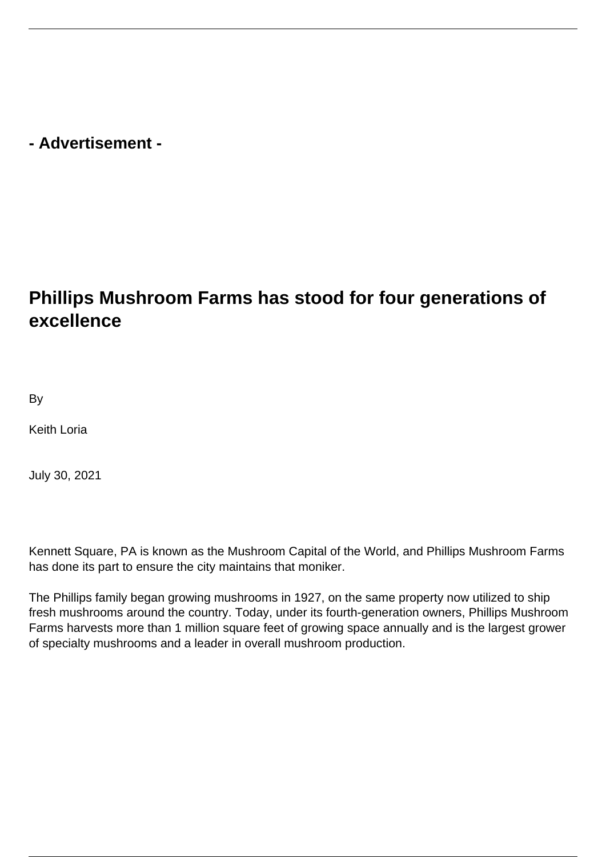## **- Advertisement -**

## **Phillips Mushroom Farms has stood for four generations of excellence**

By

Keith Loria

July 30, 2021

Kennett Square, PA is known as the Mushroom Capital of the World, and Phillips Mushroom Farms has done its part to ensure the city maintains that moniker.

The Phillips family began growing mushrooms in 1927, on the same property now utilized to ship fresh mushrooms around the country. Today, under its fourth-generation owners, Phillips Mushroom Farms harvests more than 1 million square feet of growing space annually and is the largest grower of specialty mushrooms and a leader in overall mushroom production.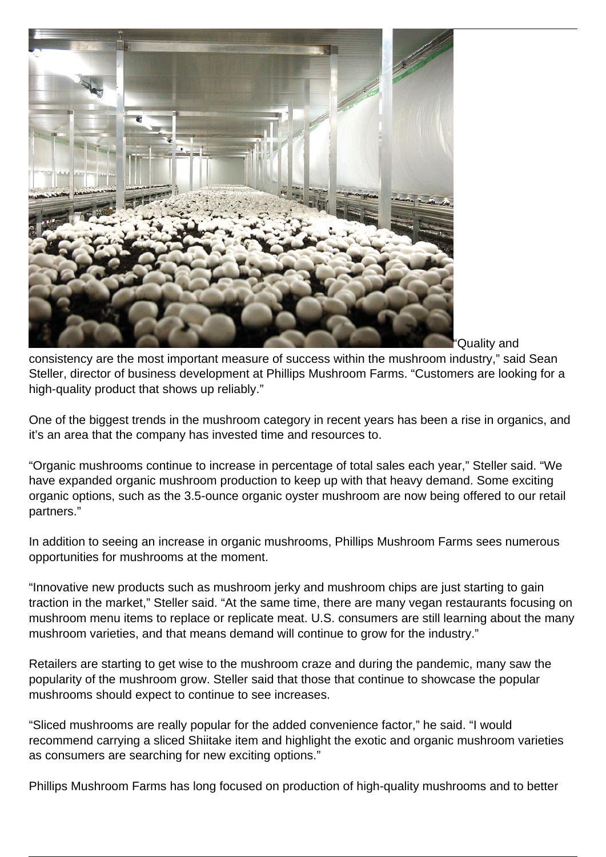

"Quality and

consistency are the most important measure of success within the mushroom industry," said Sean Steller, director of business development at Phillips Mushroom Farms. "Customers are looking for a high-quality product that shows up reliably."

One of the biggest trends in the mushroom category in recent years has been a rise in organics, and it's an area that the company has invested time and resources to.

"Organic mushrooms continue to increase in percentage of total sales each year," Steller said. "We have expanded organic mushroom production to keep up with that heavy demand. Some exciting organic options, such as the 3.5-ounce organic oyster mushroom are now being offered to our retail partners."

In addition to seeing an increase in organic mushrooms, Phillips Mushroom Farms sees numerous opportunities for mushrooms at the moment.

"Innovative new products such as mushroom jerky and mushroom chips are just starting to gain traction in the market," Steller said. "At the same time, there are many vegan restaurants focusing on mushroom menu items to replace or replicate meat. U.S. consumers are still learning about the many mushroom varieties, and that means demand will continue to grow for the industry."

Retailers are starting to get wise to the mushroom craze and during the pandemic, many saw the popularity of the mushroom grow. Steller said that those that continue to showcase the popular mushrooms should expect to continue to see increases.

"Sliced mushrooms are really popular for the added convenience factor," he said. "I would recommend carrying a sliced Shiitake item and highlight the exotic and organic mushroom varieties as consumers are searching for new exciting options."

Phillips Mushroom Farms has long focused on production of high-quality mushrooms and to better